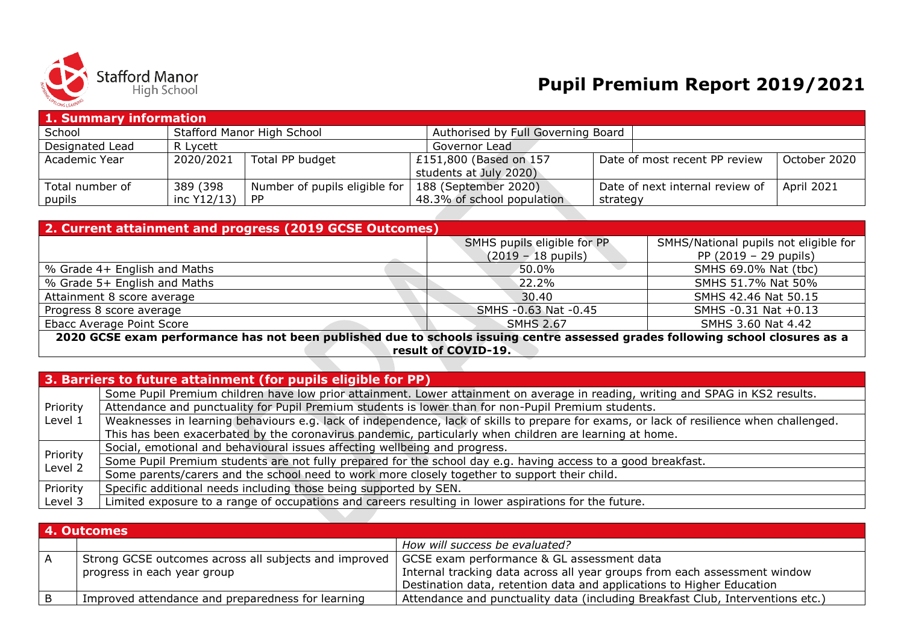

## **Pupil Premium Report 2019/2021**

| 1. Summary information |             |                               |                                    |          |                                 |                   |  |
|------------------------|-------------|-------------------------------|------------------------------------|----------|---------------------------------|-------------------|--|
| School                 |             | Stafford Manor High School    | Authorised by Full Governing Board |          |                                 |                   |  |
| Designated Lead        | R Lycett    |                               | Governor Lead                      |          |                                 |                   |  |
| Academic Year          | 2020/2021   | Total PP budget               | £151,800 (Based on 157             |          | Date of most recent PP review   | October 2020      |  |
|                        |             |                               | students at July 2020)             |          |                                 |                   |  |
| Total number of        | 389 (398    | Number of pupils eligible for | 188 (September 2020)               |          | Date of next internal review of | <b>April 2021</b> |  |
| pupils                 | inc Y12/13) | <b>PP</b>                     | 48.3% of school population         | strategy |                                 |                   |  |

| 2. Current attainment and progress (2019 GCSE Outcomes)                                                                        |                                        |                                       |  |  |  |  |
|--------------------------------------------------------------------------------------------------------------------------------|----------------------------------------|---------------------------------------|--|--|--|--|
|                                                                                                                                | SMHS pupils eligible for PP            | SMHS/National pupils not eligible for |  |  |  |  |
|                                                                                                                                | $(2019 - 18 \text{ pupils})$           | PP $(2019 - 29 \text{ pupils})$       |  |  |  |  |
| \% Grade 4+ English and Maths                                                                                                  | $50.0\%$                               | SMHS 69.0% Nat (tbc)                  |  |  |  |  |
| % Grade 5+ English and Maths                                                                                                   | 22.2%                                  | SMHS 51.7% Nat 50%                    |  |  |  |  |
| Attainment 8 score average                                                                                                     | 30.40                                  | SMHS 42.46 Nat 50.15                  |  |  |  |  |
| Progress 8 score average                                                                                                       | SMHS - 0.63 Nat - 0.45                 | SMHS -0.31 Nat +0.13                  |  |  |  |  |
| Ebacc Average Point Score                                                                                                      | <b>SMHS 2.67</b><br>SMHS 3.60 Nat 4.42 |                                       |  |  |  |  |
| 2020 GCSE exam performance has not been published due to schools issuing centre assessed grades following school closures as a |                                        |                                       |  |  |  |  |
|                                                                                                                                |                                        | result of COVID-19.                   |  |  |  |  |

|                     | 3. Barriers to future attainment (for pupils eligible for PP).                                                                           |
|---------------------|------------------------------------------------------------------------------------------------------------------------------------------|
|                     | Some Pupil Premium children have low prior attainment. Lower attainment on average in reading, writing and SPAG in KS2 results.          |
| Priority            | Attendance and punctuality for Pupil Premium students is lower than for non-Pupil Premium students.                                      |
| Level 1             | Weaknesses in learning behaviours e.g. lack of independence, lack of skills to prepare for exams, or lack of resilience when challenged. |
|                     | This has been exacerbated by the coronavirus pandemic, particularly when children are learning at home.                                  |
|                     | Social, emotional and behavioural issues affecting wellbeing and progress.                                                               |
| Priority<br>Level 2 | Some Pupil Premium students are not fully prepared for the school day e.g. having access to a good breakfast.                            |
|                     | Some parents/carers and the school need to work more closely together to support their child.                                            |
| Priority            | Specific additional needs including those being supported by SEN.                                                                        |
| Level 3             | Limited exposure to a range of occupations and careers resulting in lower aspirations for the future.                                    |

|              | 4. Outcomes                                           |                                                                                |  |  |  |
|--------------|-------------------------------------------------------|--------------------------------------------------------------------------------|--|--|--|
|              |                                                       | How will success be evaluated?                                                 |  |  |  |
| $\mathsf{A}$ | Strong GCSE outcomes across all subjects and improved | GCSE exam performance & GL assessment data                                     |  |  |  |
|              | progress in each year group                           | Internal tracking data across all year groups from each assessment window      |  |  |  |
|              |                                                       | Destination data, retention data and applications to Higher Education          |  |  |  |
| B            | Improved attendance and preparedness for learning     | Attendance and punctuality data (including Breakfast Club, Interventions etc.) |  |  |  |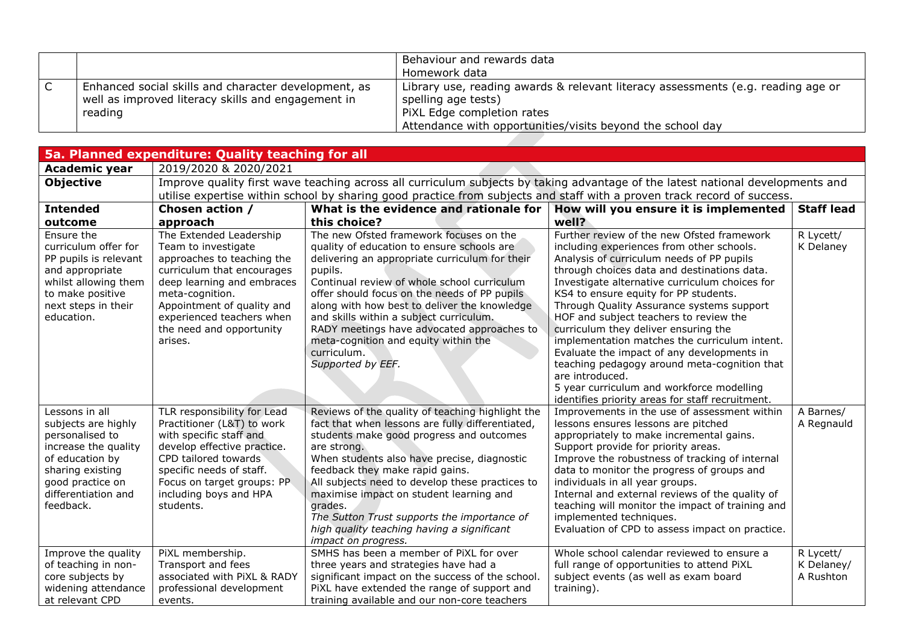|   |                                                      | Behaviour and rewards data                                                       |
|---|------------------------------------------------------|----------------------------------------------------------------------------------|
|   |                                                      | Homework data                                                                    |
| ◡ | Enhanced social skills and character development, as | Library use, reading awards & relevant literacy assessments (e.g. reading age or |
|   | well as improved literacy skills and engagement in   | spelling age tests)                                                              |
|   | reading                                              | PiXL Edge completion rates                                                       |
|   |                                                      | Attendance with opportunities/visits beyond the school day                       |

| 5a. Planned expenditure: Quality teaching for all                                                                                                                               |                                                                                                                                                                                                                                                               |                                                                                                                                                                                                                                                                                                                                                                                                                                                                                |                                                                                                                                                                                                                                                                                                                                                                                                                                                                                                                                                                                                                                                                                  |                                      |  |
|---------------------------------------------------------------------------------------------------------------------------------------------------------------------------------|---------------------------------------------------------------------------------------------------------------------------------------------------------------------------------------------------------------------------------------------------------------|--------------------------------------------------------------------------------------------------------------------------------------------------------------------------------------------------------------------------------------------------------------------------------------------------------------------------------------------------------------------------------------------------------------------------------------------------------------------------------|----------------------------------------------------------------------------------------------------------------------------------------------------------------------------------------------------------------------------------------------------------------------------------------------------------------------------------------------------------------------------------------------------------------------------------------------------------------------------------------------------------------------------------------------------------------------------------------------------------------------------------------------------------------------------------|--------------------------------------|--|
| <b>Academic year</b>                                                                                                                                                            | 2019/2020 & 2020/2021                                                                                                                                                                                                                                         |                                                                                                                                                                                                                                                                                                                                                                                                                                                                                |                                                                                                                                                                                                                                                                                                                                                                                                                                                                                                                                                                                                                                                                                  |                                      |  |
| <b>Objective</b>                                                                                                                                                                | Improve quality first wave teaching across all curriculum subjects by taking advantage of the latest national developments and                                                                                                                                |                                                                                                                                                                                                                                                                                                                                                                                                                                                                                |                                                                                                                                                                                                                                                                                                                                                                                                                                                                                                                                                                                                                                                                                  |                                      |  |
|                                                                                                                                                                                 |                                                                                                                                                                                                                                                               |                                                                                                                                                                                                                                                                                                                                                                                                                                                                                | utilise expertise within school by sharing good practice from subjects and staff with a proven track record of success.                                                                                                                                                                                                                                                                                                                                                                                                                                                                                                                                                          |                                      |  |
| <b>Intended</b>                                                                                                                                                                 | Chosen action /                                                                                                                                                                                                                                               | What is the evidence and rationale for                                                                                                                                                                                                                                                                                                                                                                                                                                         | How will you ensure it is implemented                                                                                                                                                                                                                                                                                                                                                                                                                                                                                                                                                                                                                                            | <b>Staff lead</b>                    |  |
| outcome                                                                                                                                                                         | approach                                                                                                                                                                                                                                                      | this choice?                                                                                                                                                                                                                                                                                                                                                                                                                                                                   | well?                                                                                                                                                                                                                                                                                                                                                                                                                                                                                                                                                                                                                                                                            |                                      |  |
| Ensure the<br>curriculum offer for<br>PP pupils is relevant<br>and appropriate<br>whilst allowing them<br>to make positive<br>next steps in their<br>education.                 | The Extended Leadership<br>Team to investigate<br>approaches to teaching the<br>curriculum that encourages<br>deep learning and embraces<br>meta-cognition.<br>Appointment of quality and<br>experienced teachers when<br>the need and opportunity<br>arises. | The new Ofsted framework focuses on the<br>quality of education to ensure schools are<br>delivering an appropriate curriculum for their<br>pupils.<br>Continual review of whole school curriculum<br>offer should focus on the needs of PP pupils<br>along with how best to deliver the knowledge<br>and skills within a subject curriculum.<br>RADY meetings have advocated approaches to<br>meta-cognition and equity within the<br>curriculum.<br>Supported by EEF.         | Further review of the new Ofsted framework<br>including experiences from other schools.<br>Analysis of curriculum needs of PP pupils<br>through choices data and destinations data.<br>Investigate alternative curriculum choices for<br>KS4 to ensure equity for PP students.<br>Through Quality Assurance systems support<br>HOF and subject teachers to review the<br>curriculum they deliver ensuring the<br>implementation matches the curriculum intent.<br>Evaluate the impact of any developments in<br>teaching pedagogy around meta-cognition that<br>are introduced.<br>5 year curriculum and workforce modelling<br>identifies priority areas for staff recruitment. | R Lycett/<br>K Delaney               |  |
| Lessons in all<br>subjects are highly<br>personalised to<br>increase the quality<br>of education by<br>sharing existing<br>good practice on<br>differentiation and<br>feedback. | TLR responsibility for Lead<br>Practitioner (L&T) to work<br>with specific staff and<br>develop effective practice.<br>CPD tailored towards<br>specific needs of staff.<br>Focus on target groups: PP<br>including boys and HPA<br>students.                  | Reviews of the quality of teaching highlight the<br>fact that when lessons are fully differentiated,<br>students make good progress and outcomes<br>are strong.<br>When students also have precise, diagnostic<br>feedback they make rapid gains.<br>All subjects need to develop these practices to<br>maximise impact on student learning and<br>grades.<br>The Sutton Trust supports the importance of<br>high quality teaching having a significant<br>impact on progress. | Improvements in the use of assessment within<br>lessons ensures lessons are pitched<br>appropriately to make incremental gains.<br>Support provide for priority areas.<br>Improve the robustness of tracking of internal<br>data to monitor the progress of groups and<br>individuals in all year groups.<br>Internal and external reviews of the quality of<br>teaching will monitor the impact of training and<br>implemented techniques.<br>Evaluation of CPD to assess impact on practice.                                                                                                                                                                                   | A Barnes/<br>A Regnauld              |  |
| Improve the quality<br>of teaching in non-<br>core subjects by<br>widening attendance<br>at relevant CPD                                                                        | PiXL membership.<br>Transport and fees<br>associated with PiXL & RADY<br>professional development<br>events.                                                                                                                                                  | SMHS has been a member of PiXL for over<br>three years and strategies have had a<br>significant impact on the success of the school.<br>PiXL have extended the range of support and<br>training available and our non-core teachers                                                                                                                                                                                                                                            | Whole school calendar reviewed to ensure a<br>full range of opportunities to attend PiXL<br>subject events (as well as exam board<br>training).                                                                                                                                                                                                                                                                                                                                                                                                                                                                                                                                  | R Lycett/<br>K Delaney/<br>A Rushton |  |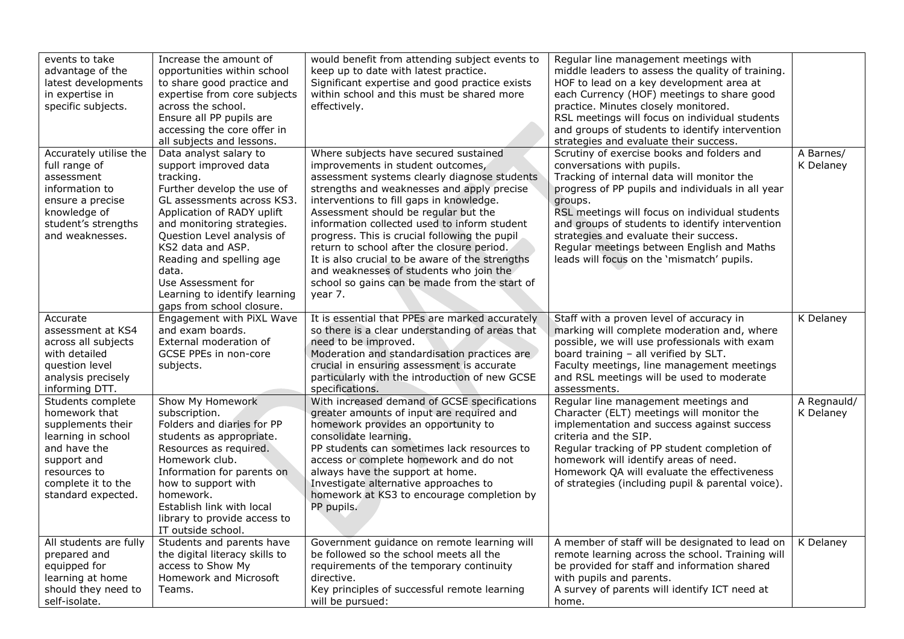| events to take<br>advantage of the<br>latest developments<br>in expertise in<br>specific subjects.                                                                       | Increase the amount of<br>opportunities within school<br>to share good practice and<br>expertise from core subjects<br>across the school.<br>Ensure all PP pupils are<br>accessing the core offer in<br>all subjects and lessons.                                                                                                                                | would benefit from attending subject events to<br>keep up to date with latest practice.<br>Significant expertise and good practice exists<br>within school and this must be shared more<br>effectively.                                                                                                                                                                                                                                                                                                                                                               | Regular line management meetings with<br>middle leaders to assess the quality of training.<br>HOF to lead on a key development area at<br>each Currency (HOF) meetings to share good<br>practice. Minutes closely monitored.<br>RSL meetings will focus on individual students<br>and groups of students to identify intervention<br>strategies and evaluate their success.                                                       |                          |
|--------------------------------------------------------------------------------------------------------------------------------------------------------------------------|------------------------------------------------------------------------------------------------------------------------------------------------------------------------------------------------------------------------------------------------------------------------------------------------------------------------------------------------------------------|-----------------------------------------------------------------------------------------------------------------------------------------------------------------------------------------------------------------------------------------------------------------------------------------------------------------------------------------------------------------------------------------------------------------------------------------------------------------------------------------------------------------------------------------------------------------------|-----------------------------------------------------------------------------------------------------------------------------------------------------------------------------------------------------------------------------------------------------------------------------------------------------------------------------------------------------------------------------------------------------------------------------------|--------------------------|
| Accurately utilise the<br>full range of<br>assessment<br>information to<br>ensure a precise<br>knowledge of<br>student's strengths<br>and weaknesses.                    | Data analyst salary to<br>support improved data<br>tracking.<br>Further develop the use of<br>GL assessments across KS3.<br>Application of RADY uplift<br>and monitoring strategies.<br>Question Level analysis of<br>KS2 data and ASP.<br>Reading and spelling age<br>data.<br>Use Assessment for<br>Learning to identify learning<br>gaps from school closure. | Where subjects have secured sustained<br>improvements in student outcomes,<br>assessment systems clearly diagnose students<br>strengths and weaknesses and apply precise<br>interventions to fill gaps in knowledge.<br>Assessment should be regular but the<br>information collected used to inform student<br>progress. This is crucial following the pupil<br>return to school after the closure period.<br>It is also crucial to be aware of the strengths<br>and weaknesses of students who join the<br>school so gains can be made from the start of<br>year 7. | Scrutiny of exercise books and folders and<br>conversations with pupils.<br>Tracking of internal data will monitor the<br>progress of PP pupils and individuals in all year<br>groups.<br>RSL meetings will focus on individual students<br>and groups of students to identify intervention<br>strategies and evaluate their success.<br>Regular meetings between English and Maths<br>leads will focus on the 'mismatch' pupils. | A Barnes/<br>K Delaney   |
| Accurate<br>assessment at KS4<br>across all subjects<br>with detailed<br>question level<br>analysis precisely<br>informing DTT.                                          | Engagement with PiXL Wave<br>and exam boards.<br>External moderation of<br>GCSE PPEs in non-core<br>subjects.                                                                                                                                                                                                                                                    | It is essential that PPEs are marked accurately<br>so there is a clear understanding of areas that<br>need to be improved.<br>Moderation and standardisation practices are<br>crucial in ensuring assessment is accurate<br>particularly with the introduction of new GCSE<br>specifications.                                                                                                                                                                                                                                                                         | Staff with a proven level of accuracy in<br>marking will complete moderation and, where<br>possible, we will use professionals with exam<br>board training - all verified by SLT.<br>Faculty meetings, line management meetings<br>and RSL meetings will be used to moderate<br>assessments.                                                                                                                                      | K Delaney                |
| Students complete<br>homework that<br>supplements their<br>learning in school<br>and have the<br>support and<br>resources to<br>complete it to the<br>standard expected. | Show My Homework<br>subscription.<br>Folders and diaries for PP<br>students as appropriate.<br>Resources as required.<br>Homework club.<br>Information for parents on<br>how to support with<br>homework.<br>Establish link with local<br>library to provide access to<br>IT outside school.                                                                     | With increased demand of GCSE specifications<br>greater amounts of input are required and<br>homework provides an opportunity to<br>consolidate learning.<br>PP students can sometimes lack resources to<br>access or complete homework and do not<br>always have the support at home.<br>Investigate alternative approaches to<br>homework at KS3 to encourage completion by<br>PP pupils.                                                                                                                                                                           | Regular line management meetings and<br>Character (ELT) meetings will monitor the<br>implementation and success against success<br>criteria and the SIP.<br>Regular tracking of PP student completion of<br>homework will identify areas of need.<br>Homework QA will evaluate the effectiveness<br>of strategies (including pupil & parental voice).                                                                             | A Regnauld/<br>K Delaney |
| All students are fully<br>prepared and<br>equipped for<br>learning at home<br>should they need to<br>self-isolate.                                                       | Students and parents have<br>the digital literacy skills to<br>access to Show My<br>Homework and Microsoft<br>Teams.                                                                                                                                                                                                                                             | Government guidance on remote learning will<br>be followed so the school meets all the<br>requirements of the temporary continuity<br>directive.<br>Key principles of successful remote learning<br>will be pursued:                                                                                                                                                                                                                                                                                                                                                  | A member of staff will be designated to lead on<br>remote learning across the school. Training will<br>be provided for staff and information shared<br>with pupils and parents.<br>A survey of parents will identify ICT need at<br>home.                                                                                                                                                                                         | K Delaney                |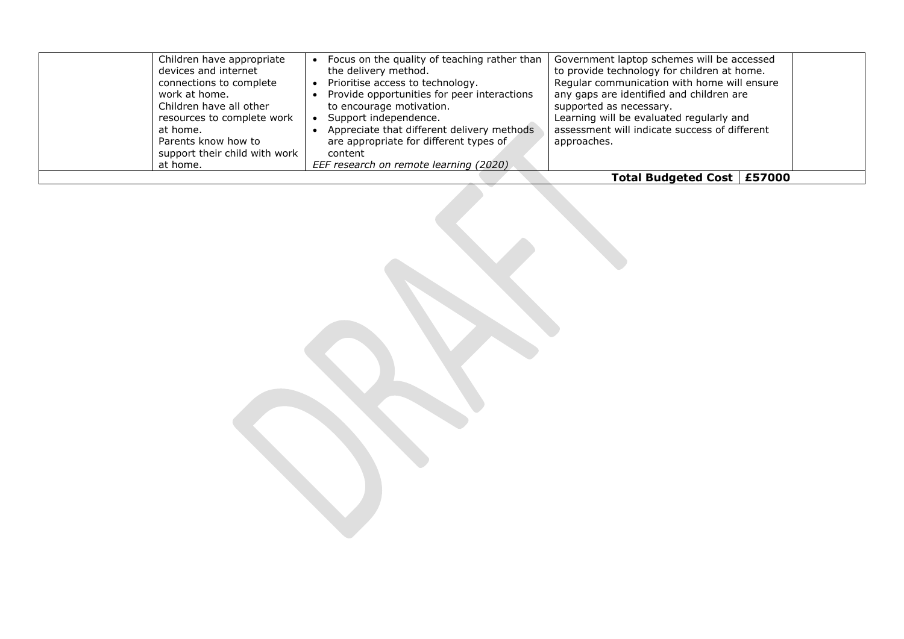| Children have appropriate<br>devices and internet<br>connections to complete<br>work at home.<br>Children have all other<br>resources to complete work<br>at home.<br>Parents know how to<br>support their child with work<br>at home. | Focus on the quality of teaching rather than<br>the delivery method.<br>Prioritise access to technology.<br>Provide opportunities for peer interactions<br>to encourage motivation.<br>Support independence.<br>Appreciate that different delivery methods<br>are appropriate for different types of<br>content<br>EEF research on remote learning (2020) | Government laptop schemes will be accessed<br>to provide technology for children at home.<br>Regular communication with home will ensure<br>any gaps are identified and children are<br>supported as necessary.<br>Learning will be evaluated regularly and<br>assessment will indicate success of different<br>approaches. |  |
|----------------------------------------------------------------------------------------------------------------------------------------------------------------------------------------------------------------------------------------|-----------------------------------------------------------------------------------------------------------------------------------------------------------------------------------------------------------------------------------------------------------------------------------------------------------------------------------------------------------|-----------------------------------------------------------------------------------------------------------------------------------------------------------------------------------------------------------------------------------------------------------------------------------------------------------------------------|--|
|                                                                                                                                                                                                                                        |                                                                                                                                                                                                                                                                                                                                                           | Total Budgeted Cost   £57000                                                                                                                                                                                                                                                                                                |  |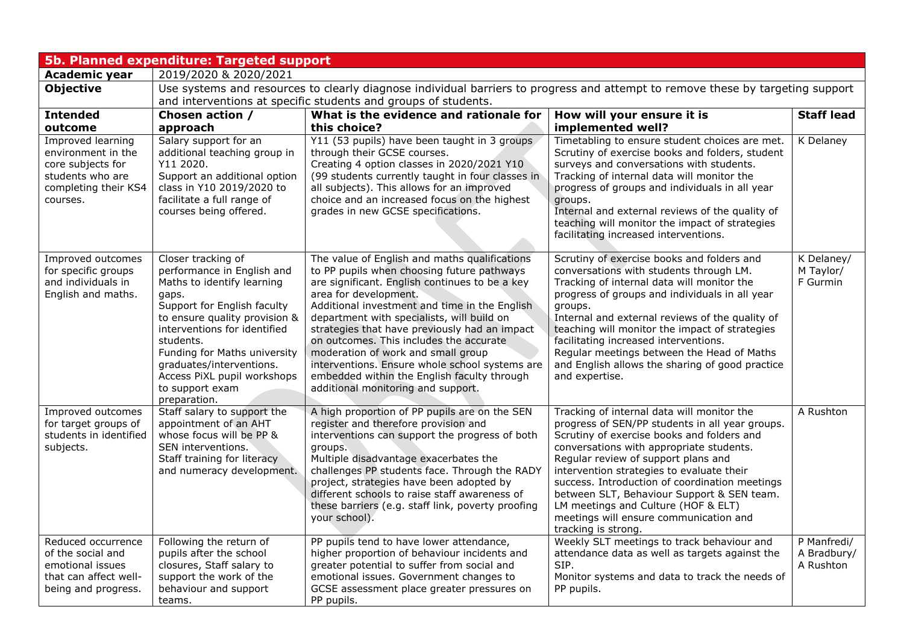| 5b. Planned expenditure: Targeted support                                                                            |                                                                                                                                                                                                                                                                                                                                    |                                                                                                                                                                                                                                                                                                                                                                                                                                                                                                                                                |                                                                                                                                                                                                                                                                                                                                                                                                                                                                                     |                                         |  |  |
|----------------------------------------------------------------------------------------------------------------------|------------------------------------------------------------------------------------------------------------------------------------------------------------------------------------------------------------------------------------------------------------------------------------------------------------------------------------|------------------------------------------------------------------------------------------------------------------------------------------------------------------------------------------------------------------------------------------------------------------------------------------------------------------------------------------------------------------------------------------------------------------------------------------------------------------------------------------------------------------------------------------------|-------------------------------------------------------------------------------------------------------------------------------------------------------------------------------------------------------------------------------------------------------------------------------------------------------------------------------------------------------------------------------------------------------------------------------------------------------------------------------------|-----------------------------------------|--|--|
| <b>Academic year</b>                                                                                                 | 2019/2020 & 2020/2021                                                                                                                                                                                                                                                                                                              |                                                                                                                                                                                                                                                                                                                                                                                                                                                                                                                                                |                                                                                                                                                                                                                                                                                                                                                                                                                                                                                     |                                         |  |  |
| <b>Objective</b>                                                                                                     |                                                                                                                                                                                                                                                                                                                                    | Use systems and resources to clearly diagnose individual barriers to progress and attempt to remove these by targeting support                                                                                                                                                                                                                                                                                                                                                                                                                 |                                                                                                                                                                                                                                                                                                                                                                                                                                                                                     |                                         |  |  |
|                                                                                                                      |                                                                                                                                                                                                                                                                                                                                    | and interventions at specific students and groups of students.                                                                                                                                                                                                                                                                                                                                                                                                                                                                                 |                                                                                                                                                                                                                                                                                                                                                                                                                                                                                     |                                         |  |  |
| <b>Intended</b>                                                                                                      | Chosen action /                                                                                                                                                                                                                                                                                                                    | What is the evidence and rationale for                                                                                                                                                                                                                                                                                                                                                                                                                                                                                                         | How will your ensure it is                                                                                                                                                                                                                                                                                                                                                                                                                                                          | <b>Staff lead</b>                       |  |  |
| outcome                                                                                                              | approach                                                                                                                                                                                                                                                                                                                           | this choice?                                                                                                                                                                                                                                                                                                                                                                                                                                                                                                                                   | implemented well?                                                                                                                                                                                                                                                                                                                                                                                                                                                                   |                                         |  |  |
| Improved learning<br>environment in the<br>core subjects for<br>students who are<br>completing their KS4<br>courses. | Salary support for an<br>additional teaching group in<br>Y11 2020.<br>Support an additional option<br>class in Y10 2019/2020 to<br>facilitate a full range of<br>courses being offered.                                                                                                                                            | Y11 (53 pupils) have been taught in 3 groups<br>through their GCSE courses.<br>Creating 4 option classes in 2020/2021 Y10<br>(99 students currently taught in four classes in<br>all subjects). This allows for an improved<br>choice and an increased focus on the highest<br>grades in new GCSE specifications.                                                                                                                                                                                                                              | Timetabling to ensure student choices are met.<br>Scrutiny of exercise books and folders, student<br>surveys and conversations with students.<br>Tracking of internal data will monitor the<br>progress of groups and individuals in all year<br>groups.<br>Internal and external reviews of the quality of<br>teaching will monitor the impact of strategies<br>facilitating increased interventions.                                                                              | K Delaney                               |  |  |
| Improved outcomes<br>for specific groups<br>and individuals in<br>English and maths.                                 | Closer tracking of<br>performance in English and<br>Maths to identify learning<br>gaps.<br>Support for English faculty<br>to ensure quality provision &<br>interventions for identified<br>students.<br>Funding for Maths university<br>graduates/interventions.<br>Access PiXL pupil workshops<br>to support exam<br>preparation. | The value of English and maths qualifications<br>to PP pupils when choosing future pathways<br>are significant. English continues to be a key<br>area for development.<br>Additional investment and time in the English<br>department with specialists, will build on<br>strategies that have previously had an impact<br>on outcomes. This includes the accurate<br>moderation of work and small group<br>interventions. Ensure whole school systems are<br>embedded within the English faculty through<br>additional monitoring and support. | Scrutiny of exercise books and folders and<br>conversations with students through LM.<br>Tracking of internal data will monitor the<br>progress of groups and individuals in all year<br>groups.<br>Internal and external reviews of the quality of<br>teaching will monitor the impact of strategies<br>facilitating increased interventions.<br>Regular meetings between the Head of Maths<br>and English allows the sharing of good practice<br>and expertise.                   | K Delaney/<br>M Taylor/<br>F Gurmin     |  |  |
| Improved outcomes<br>for target groups of<br>students in identified<br>subjects.                                     | Staff salary to support the<br>appointment of an AHT<br>whose focus will be PP &<br>SEN interventions.<br>Staff training for literacy<br>and numeracy development.                                                                                                                                                                 | A high proportion of PP pupils are on the SEN<br>register and therefore provision and<br>interventions can support the progress of both<br>groups.<br>Multiple disadvantage exacerbates the<br>challenges PP students face. Through the RADY<br>project, strategies have been adopted by<br>different schools to raise staff awareness of<br>these barriers (e.g. staff link, poverty proofing<br>your school).                                                                                                                                | Tracking of internal data will monitor the<br>progress of SEN/PP students in all year groups.<br>Scrutiny of exercise books and folders and<br>conversations with appropriate students.<br>Regular review of support plans and<br>intervention strategies to evaluate their<br>success. Introduction of coordination meetings<br>between SLT, Behaviour Support & SEN team.<br>LM meetings and Culture (HOF & ELT)<br>meetings will ensure communication and<br>tracking is strong. | A Rushton                               |  |  |
| Reduced occurrence<br>of the social and<br>emotional issues<br>that can affect well-<br>being and progress.          | Following the return of<br>pupils after the school<br>closures, Staff salary to<br>support the work of the<br>behaviour and support<br>teams.                                                                                                                                                                                      | PP pupils tend to have lower attendance,<br>higher proportion of behaviour incidents and<br>greater potential to suffer from social and<br>emotional issues. Government changes to<br>GCSE assessment place greater pressures on<br>PP pupils.                                                                                                                                                                                                                                                                                                 | Weekly SLT meetings to track behaviour and<br>attendance data as well as targets against the<br>SIP.<br>Monitor systems and data to track the needs of<br>PP pupils.                                                                                                                                                                                                                                                                                                                | P Manfredi/<br>A Bradbury/<br>A Rushton |  |  |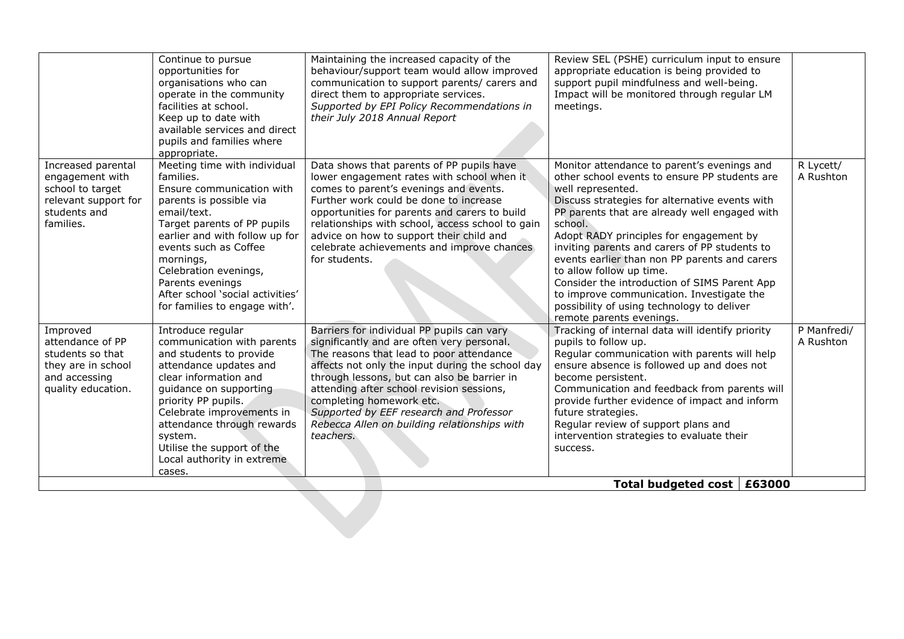|                                                                                                                | Continue to pursue<br>opportunities for<br>organisations who can<br>operate in the community<br>facilities at school.<br>Keep up to date with                                                                                                                                                                                             | Maintaining the increased capacity of the<br>behaviour/support team would allow improved<br>communication to support parents/ carers and<br>direct them to appropriate services.<br>Supported by EPI Policy Recommendations in<br>their July 2018 Annual Report                                                                                                                                                          | Review SEL (PSHE) curriculum input to ensure<br>appropriate education is being provided to<br>support pupil mindfulness and well-being.<br>Impact will be monitored through regular LM<br>meetings.                                                                                                                                                                                                                                                                                                                                                                             |                          |
|----------------------------------------------------------------------------------------------------------------|-------------------------------------------------------------------------------------------------------------------------------------------------------------------------------------------------------------------------------------------------------------------------------------------------------------------------------------------|--------------------------------------------------------------------------------------------------------------------------------------------------------------------------------------------------------------------------------------------------------------------------------------------------------------------------------------------------------------------------------------------------------------------------|---------------------------------------------------------------------------------------------------------------------------------------------------------------------------------------------------------------------------------------------------------------------------------------------------------------------------------------------------------------------------------------------------------------------------------------------------------------------------------------------------------------------------------------------------------------------------------|--------------------------|
|                                                                                                                | available services and direct<br>pupils and families where<br>appropriate.                                                                                                                                                                                                                                                                |                                                                                                                                                                                                                                                                                                                                                                                                                          |                                                                                                                                                                                                                                                                                                                                                                                                                                                                                                                                                                                 |                          |
| Increased parental<br>engagement with<br>school to target<br>relevant support for<br>students and<br>families. | Meeting time with individual<br>families.<br>Ensure communication with<br>parents is possible via<br>email/text.<br>Target parents of PP pupils<br>earlier and with follow up for<br>events such as Coffee<br>mornings,<br>Celebration evenings,<br>Parents evenings<br>After school 'social activities'<br>for families to engage with'. | Data shows that parents of PP pupils have<br>lower engagement rates with school when it<br>comes to parent's evenings and events.<br>Further work could be done to increase<br>opportunities for parents and carers to build<br>relationships with school, access school to gain<br>advice on how to support their child and<br>celebrate achievements and improve chances<br>for students.                              | Monitor attendance to parent's evenings and<br>other school events to ensure PP students are<br>well represented.<br>Discuss strategies for alternative events with<br>PP parents that are already well engaged with<br>school.<br>Adopt RADY principles for engagement by<br>inviting parents and carers of PP students to<br>events earlier than non PP parents and carers<br>to allow follow up time.<br>Consider the introduction of SIMS Parent App<br>to improve communication. Investigate the<br>possibility of using technology to deliver<br>remote parents evenings. | R Lycett/<br>A Rushton   |
| Improved<br>attendance of PP<br>students so that<br>they are in school<br>and accessing<br>quality education.  | Introduce regular<br>communication with parents<br>and students to provide<br>attendance updates and<br>clear information and<br>guidance on supporting<br>priority PP pupils.<br>Celebrate improvements in<br>attendance through rewards<br>system.<br>Utilise the support of the<br>Local authority in extreme<br>cases.                | Barriers for individual PP pupils can vary<br>significantly and are often very personal.<br>The reasons that lead to poor attendance<br>affects not only the input during the school day<br>through lessons, but can also be barrier in<br>attending after school revision sessions,<br>completing homework etc.<br>Supported by EEF research and Professor<br>Rebecca Allen on building relationships with<br>teachers. | Tracking of internal data will identify priority<br>pupils to follow up.<br>Regular communication with parents will help<br>ensure absence is followed up and does not<br>become persistent.<br>Communication and feedback from parents will<br>provide further evidence of impact and inform<br>future strategies.<br>Regular review of support plans and<br>intervention strategies to evaluate their<br>success.                                                                                                                                                             | P Manfredi/<br>A Rushton |
|                                                                                                                |                                                                                                                                                                                                                                                                                                                                           |                                                                                                                                                                                                                                                                                                                                                                                                                          | Total budgeted cost $\vert$ £63000                                                                                                                                                                                                                                                                                                                                                                                                                                                                                                                                              |                          |
|                                                                                                                |                                                                                                                                                                                                                                                                                                                                           |                                                                                                                                                                                                                                                                                                                                                                                                                          |                                                                                                                                                                                                                                                                                                                                                                                                                                                                                                                                                                                 |                          |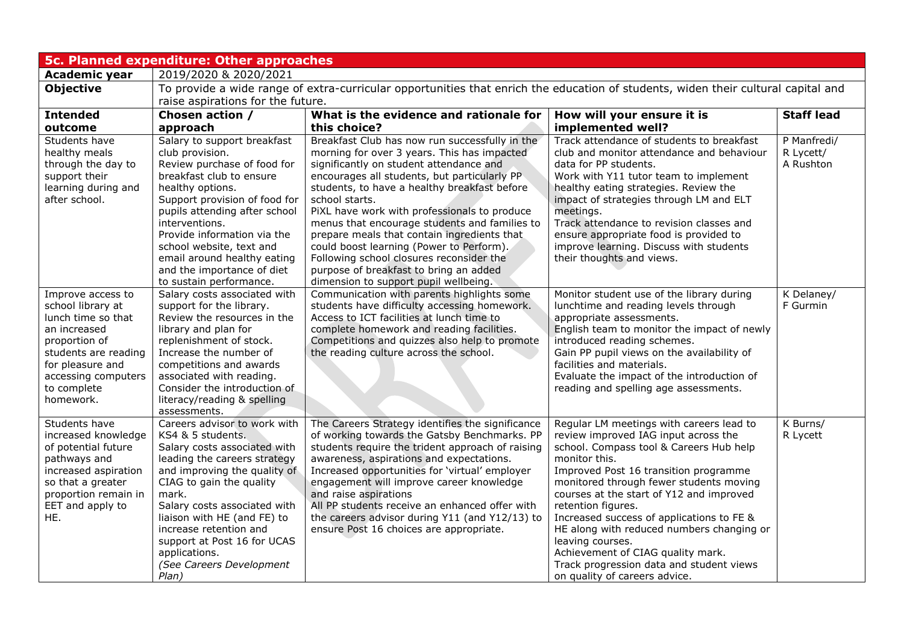| <b>5c. Planned expenditure: Other approaches</b>                                                                                                                                             |                                                                                                                                                                                                                                                                                                                                                                      |                                                                                                                                                                                                                                                                                                                                                                                                                                                                                                                                                                                       |                                                                                                                                                                                                                                                                                                                                                                                                                                                                                                                                    |                                       |  |  |
|----------------------------------------------------------------------------------------------------------------------------------------------------------------------------------------------|----------------------------------------------------------------------------------------------------------------------------------------------------------------------------------------------------------------------------------------------------------------------------------------------------------------------------------------------------------------------|---------------------------------------------------------------------------------------------------------------------------------------------------------------------------------------------------------------------------------------------------------------------------------------------------------------------------------------------------------------------------------------------------------------------------------------------------------------------------------------------------------------------------------------------------------------------------------------|------------------------------------------------------------------------------------------------------------------------------------------------------------------------------------------------------------------------------------------------------------------------------------------------------------------------------------------------------------------------------------------------------------------------------------------------------------------------------------------------------------------------------------|---------------------------------------|--|--|
| <b>Academic year</b>                                                                                                                                                                         | 2019/2020 & 2020/2021                                                                                                                                                                                                                                                                                                                                                |                                                                                                                                                                                                                                                                                                                                                                                                                                                                                                                                                                                       |                                                                                                                                                                                                                                                                                                                                                                                                                                                                                                                                    |                                       |  |  |
| <b>Objective</b>                                                                                                                                                                             | To provide a wide range of extra-curricular opportunities that enrich the education of students, widen their cultural capital and                                                                                                                                                                                                                                    |                                                                                                                                                                                                                                                                                                                                                                                                                                                                                                                                                                                       |                                                                                                                                                                                                                                                                                                                                                                                                                                                                                                                                    |                                       |  |  |
|                                                                                                                                                                                              | raise aspirations for the future.                                                                                                                                                                                                                                                                                                                                    |                                                                                                                                                                                                                                                                                                                                                                                                                                                                                                                                                                                       |                                                                                                                                                                                                                                                                                                                                                                                                                                                                                                                                    |                                       |  |  |
| <b>Intended</b>                                                                                                                                                                              | Chosen action /                                                                                                                                                                                                                                                                                                                                                      | What is the evidence and rationale for                                                                                                                                                                                                                                                                                                                                                                                                                                                                                                                                                | How will your ensure it is                                                                                                                                                                                                                                                                                                                                                                                                                                                                                                         | <b>Staff lead</b>                     |  |  |
| outcome                                                                                                                                                                                      | approach                                                                                                                                                                                                                                                                                                                                                             | this choice?                                                                                                                                                                                                                                                                                                                                                                                                                                                                                                                                                                          | implemented well?                                                                                                                                                                                                                                                                                                                                                                                                                                                                                                                  |                                       |  |  |
| Students have<br>healthy meals<br>through the day to<br>support their<br>learning during and<br>after school.                                                                                | Salary to support breakfast<br>club provision.<br>Review purchase of food for<br>breakfast club to ensure<br>healthy options.<br>Support provision of food for<br>pupils attending after school<br>interventions.<br>Provide information via the<br>school website, text and<br>email around healthy eating<br>and the importance of diet<br>to sustain performance. | Breakfast Club has now run successfully in the<br>morning for over 3 years. This has impacted<br>significantly on student attendance and<br>encourages all students, but particularly PP<br>students, to have a healthy breakfast before<br>school starts.<br>PiXL have work with professionals to produce<br>menus that encourage students and families to<br>prepare meals that contain ingredients that<br>could boost learning (Power to Perform).<br>Following school closures reconsider the<br>purpose of breakfast to bring an added<br>dimension to support pupil wellbeing. | Track attendance of students to breakfast<br>club and monitor attendance and behaviour<br>data for PP students.<br>Work with Y11 tutor team to implement<br>healthy eating strategies. Review the<br>impact of strategies through LM and ELT<br>meetings.<br>Track attendance to revision classes and<br>ensure appropriate food is provided to<br>improve learning. Discuss with students<br>their thoughts and views.                                                                                                            | P Manfredi/<br>R Lycett/<br>A Rushton |  |  |
| Improve access to<br>school library at<br>lunch time so that<br>an increased<br>proportion of<br>students are reading<br>for pleasure and<br>accessing computers<br>to complete<br>homework. | Salary costs associated with<br>support for the library.<br>Review the resources in the<br>library and plan for<br>replenishment of stock.<br>Increase the number of<br>competitions and awards<br>associated with reading.<br>Consider the introduction of<br>literacy/reading & spelling<br>assessments.                                                           | Communication with parents highlights some<br>students have difficulty accessing homework.<br>Access to ICT facilities at lunch time to<br>complete homework and reading facilities.<br>Competitions and quizzes also help to promote<br>the reading culture across the school.                                                                                                                                                                                                                                                                                                       | Monitor student use of the library during<br>lunchtime and reading levels through<br>appropriate assessments.<br>English team to monitor the impact of newly<br>introduced reading schemes.<br>Gain PP pupil views on the availability of<br>facilities and materials.<br>Evaluate the impact of the introduction of<br>reading and spelling age assessments.                                                                                                                                                                      | K Delaney/<br>F Gurmin                |  |  |
| Students have<br>increased knowledge<br>of potential future<br>pathways and<br>increased aspiration<br>so that a greater<br>proportion remain in<br>EET and apply to<br>HE.                  | Careers advisor to work with<br>KS4 & 5 students.<br>Salary costs associated with<br>leading the careers strategy<br>and improving the quality of<br>CIAG to gain the quality<br>mark.<br>Salary costs associated with<br>liaison with HE (and FE) to<br>increase retention and<br>support at Post 16 for UCAS<br>applications.<br>(See Careers Development<br>Plan) | The Careers Strategy identifies the significance<br>of working towards the Gatsby Benchmarks. PP<br>students require the trident approach of raising<br>awareness, aspirations and expectations.<br>Increased opportunities for 'virtual' employer<br>engagement will improve career knowledge<br>and raise aspirations<br>All PP students receive an enhanced offer with<br>the careers advisor during Y11 (and Y12/13) to<br>ensure Post 16 choices are appropriate.                                                                                                                | Regular LM meetings with careers lead to<br>review improved IAG input across the<br>school. Compass tool & Careers Hub help<br>monitor this.<br>Improved Post 16 transition programme<br>monitored through fewer students moving<br>courses at the start of Y12 and improved<br>retention figures.<br>Increased success of applications to FE &<br>HE along with reduced numbers changing or<br>leaving courses.<br>Achievement of CIAG quality mark.<br>Track progression data and student views<br>on quality of careers advice. | K Burns/<br>R Lycett                  |  |  |